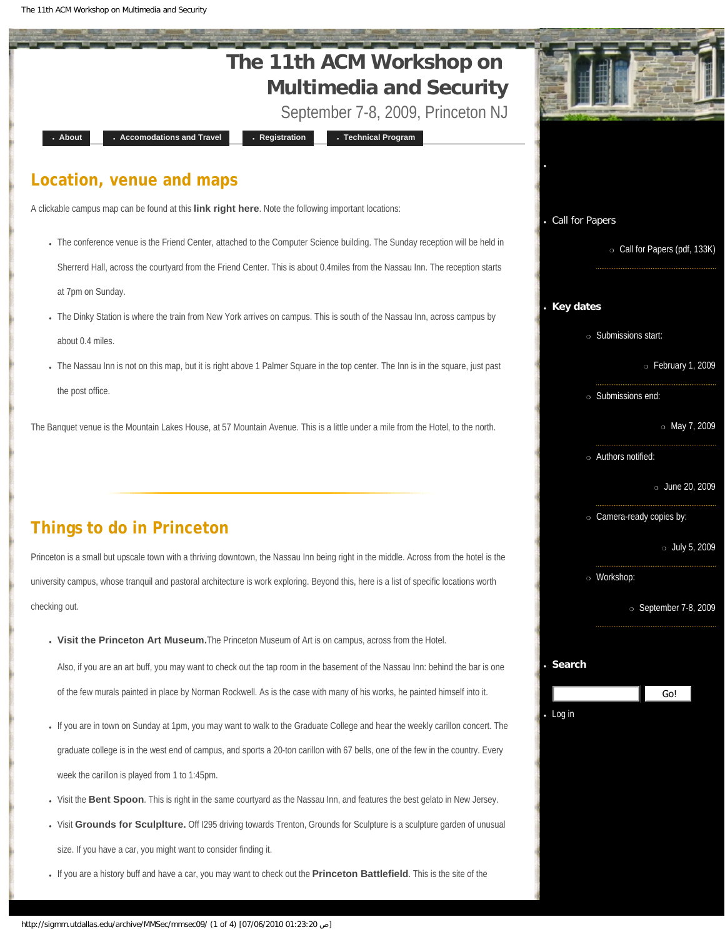<span id="page-0-0"></span>The 11th ACM Workshop on Multimedia and Security



- If you are in town on Sunday at 1pm, you may want to walk to the Graduate College and hear the weekly carillon concert. The graduate college is in the west end of campus, and sports a 20-ton carillon with 67 bells, one of the few in the country. Every week the carillon is played from 1 to 1:45pm.
- Visit the [Bent Spoon](http://www.thebentspoon.net/). This is right in the same courtyard as the Nassau Inn, and features the best gelato in New Jersey.
- Visit **[Grounds for Sculplture.](http://www.groundsforsculpture.org/)** Off I295 driving towards Trenton, Grounds for Sculpture is a sculpture garden of unusual size. If you have a car, you might want to consider finding it.
- If you are a history buff and have a car, you may want to check out the **[Princeton Battlefield](http://www.state.nj.us/dep/parksandforests/parks/princeton.html)**. This is the site of the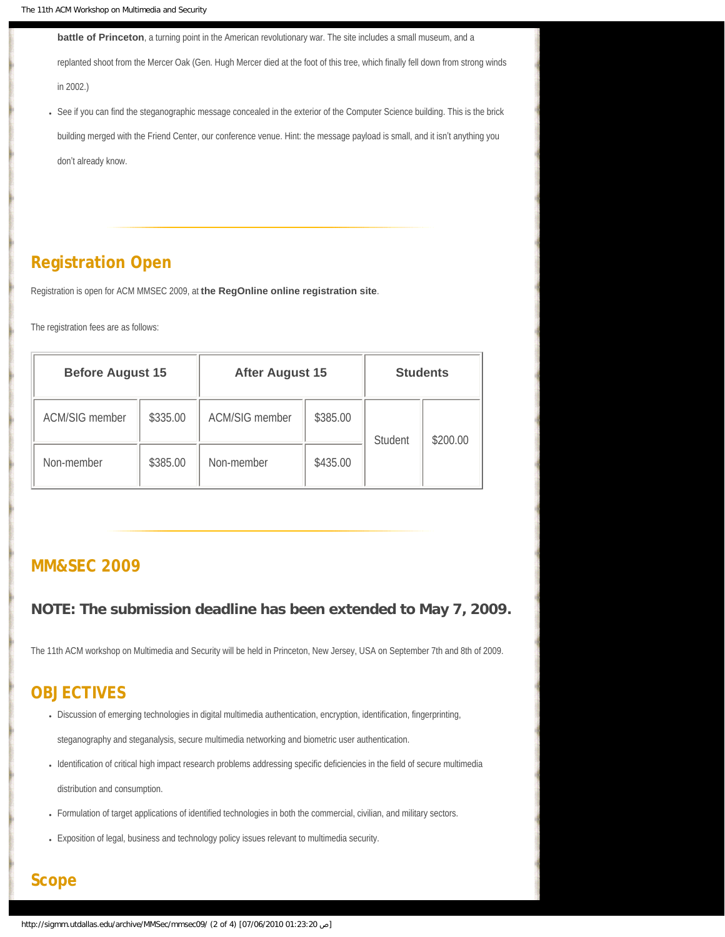**[battle of Princeton](http://en.wikipedia.org/wiki/Battle_of_Princeton)**, a turning point in the American revolutionary war. The site includes a small museum, and a

replanted shoot from the Mercer Oak (Gen. Hugh Mercer died at the foot of this tree, which finally fell down from strong winds in 2002.)

• See if you can find the steganographic message concealed in the exterior of the Computer Science building. This is the brick building merged with the Friend Center, our conference venue. Hint: the message payload is small, and it isn't anything you don't already know.

# **[Registration Open](#page-15-0)**

Registration is open for ACM MMSEC 2009, at **[the RegOnline online registration site](https://www.regonline.com/63383_127532J)**.

The registration fees are as follows:

| <b>Before August 15</b> |          | <b>After August 15</b> |          | <b>Students</b> |          |
|-------------------------|----------|------------------------|----------|-----------------|----------|
| <b>ACM/SIG member</b>   | \$335.00 | <b>ACM/SIG member</b>  | \$385.00 | Student         | \$200.00 |
| Non-member              | \$385.00 | Non-member             | \$435.00 |                 |          |

# **[MM&SEC 2009](#page-16-0)**

### **NOTE: The submission deadline has been extended to May 7, 2009.**

The 11th ACM workshop on Multimedia and Security will be held in Princeton, New Jersey, USA on September 7th and 8th of 2009.

# **OBJECTIVES**

- Discussion of emerging technologies in digital multimedia authentication, encryption, identification, fingerprinting, steganography and steganalysis, secure multimedia networking and biometric user authentication.
- Identification of critical high impact research problems addressing specific deficiencies in the field of secure multimedia distribution and consumption.
- Formulation of target applications of identified technologies in both the commercial, civilian, and military sectors.
- Exposition of legal, business and technology policy issues relevant to multimedia security.

# **Scope**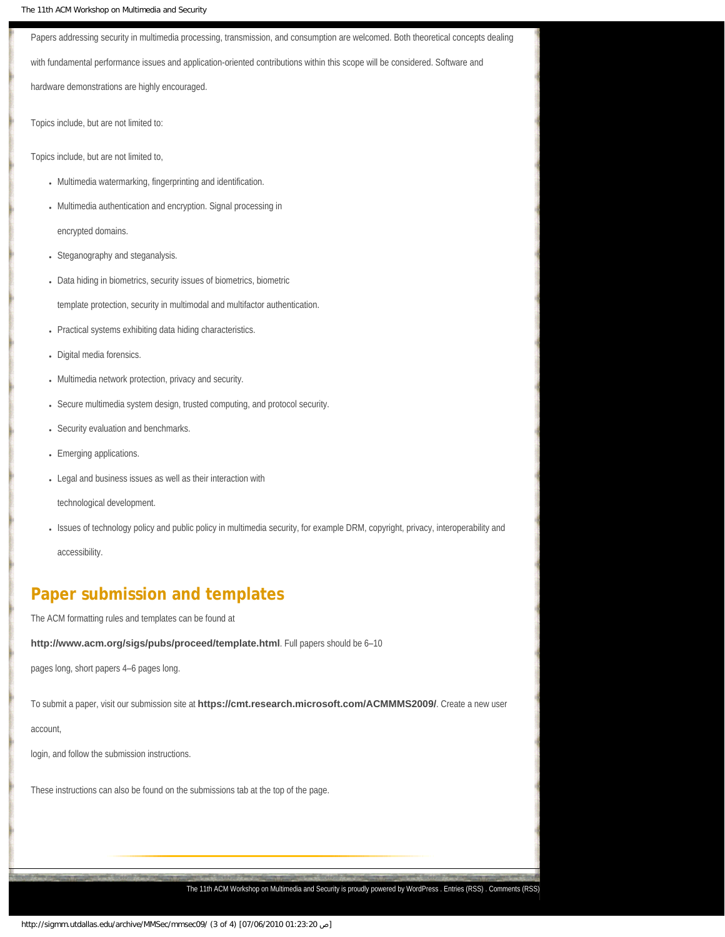The 11th ACM Workshop on Multimedia and Security Papers addressing security in multimedia processing, transmission, and consumption are welcomed. Both theoretical concepts dealing with fundamental performance issues and application-oriented contributions within this scope will be considered. Software and hardware demonstrations are highly encouraged. Topics include, but are not limited to: Topics include, but are not limited to, • Multimedia watermarking, fingerprinting and identification. • Multimedia authentication and encryption. Signal processing in encrypted domains. • Steganography and steganalysis. • Data hiding in biometrics, security issues of biometrics, biometric template protection, security in multimodal and multifactor authentication. • Practical systems exhibiting data hiding characteristics. • Digital media forensics. • Multimedia network protection, privacy and security. • Secure multimedia system design, trusted computing, and protocol security. • Security evaluation and benchmarks. • Emerging applications. • Legal and business issues as well as their interaction with technological development. ● Issues of technology policy and public policy in multimedia security, for example DRM, copyright, privacy, interoperability and

accessibility.

# **Paper submission and templates**

The ACM formatting rules and templates can be found at

**<http://www.acm.org/sigs/pubs/proceed/template.html>**. Full papers should be 6–10

pages long, short papers 4–6 pages long.

To submit a paper, visit our submission site at **<https://cmt.research.microsoft.com/ACMMMS2009/>**. Create a new user

account,

login, and follow the submission instructions.

These instructions can also be found on the submissions tab at the top of the page.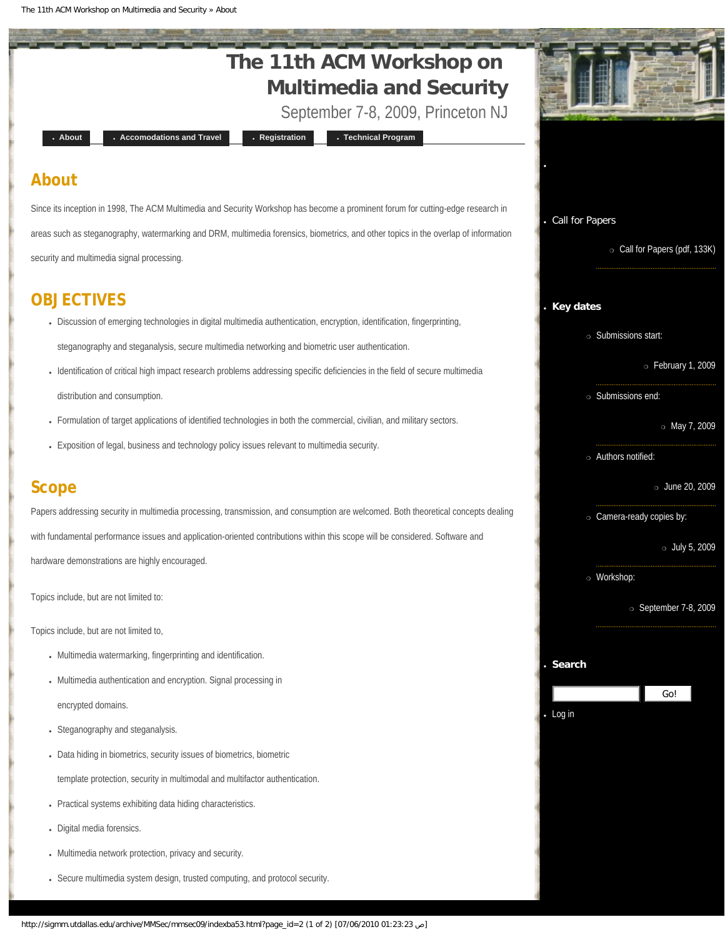The 11th ACM Workshop on Multimedia and Security » About

<span id="page-3-0"></span>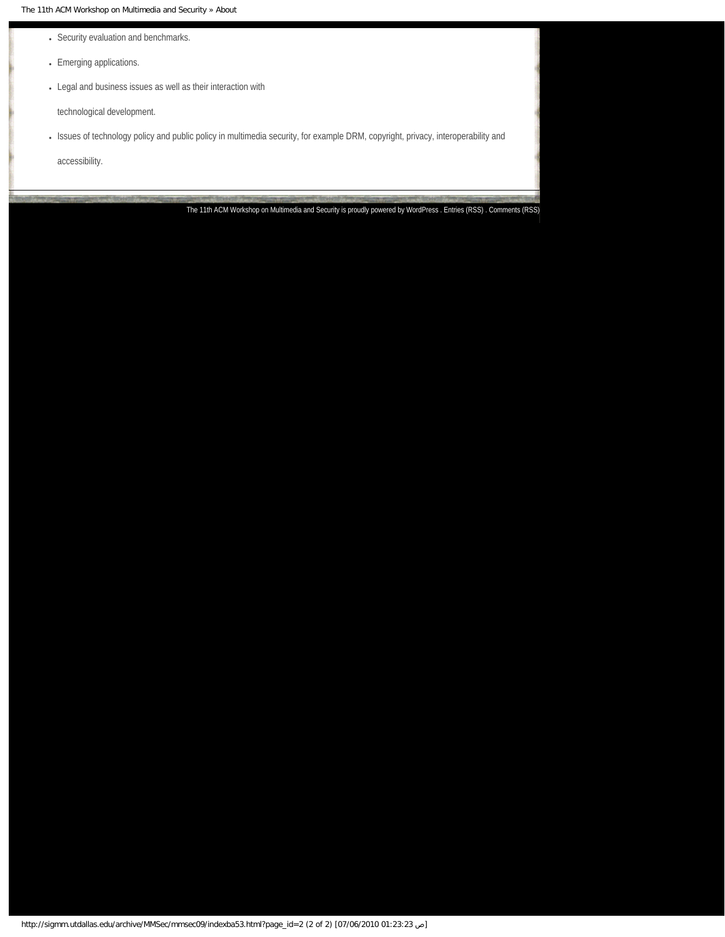The 11th ACM Workshop on Multimedia and Security » About

- Security evaluation and benchmarks.
- Emerging applications.
- Legal and business issues as well as their interaction with

technological development.

• Issues of technology policy and public policy in multimedia security, for example DRM, copyright, privacy, interoperability and

accessibility.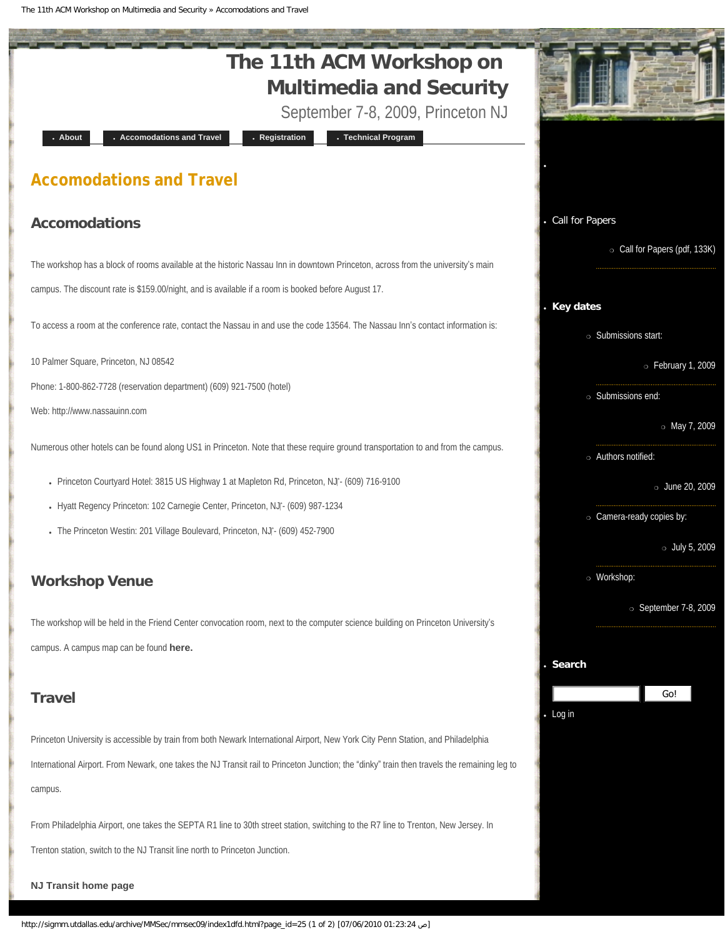The 11th ACM Workshop on Multimedia and Security » Accomodations and Travel

<span id="page-5-0"></span>

International Airport. From Newark, one takes the NJ Transit rail to Princeton Junction; the "dinky" train then travels the remaining leg to campus.

From Philadelphia Airport, one takes the SEPTA R1 line to 30th street station, switching to the R7 line to Trenton, New Jersey. In Trenton station, switch to the NJ Transit line north to Princeton Junction.

**[NJ Transit home page](http://www.njtransit.com/)**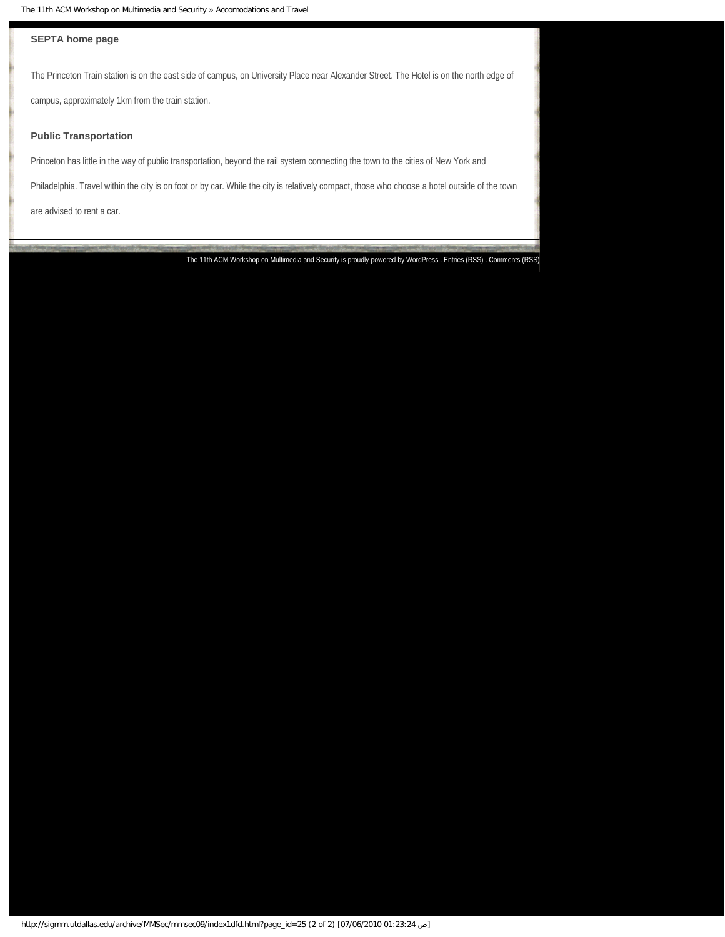### **[SEPTA home page](http://www.septa.com/)**

The Princeton Train station is on the east side of campus, on University Place near Alexander Street. The Hotel is on the north edge of

campus, approximately 1km from the train station.

### **Public Transportation**

Princeton has little in the way of public transportation, beyond the rail system connecting the town to the cities of New York and

Philadelphia. Travel within the city is on foot or by car. While the city is relatively compact, those who choose a hotel outside of the town

are advised to rent a car.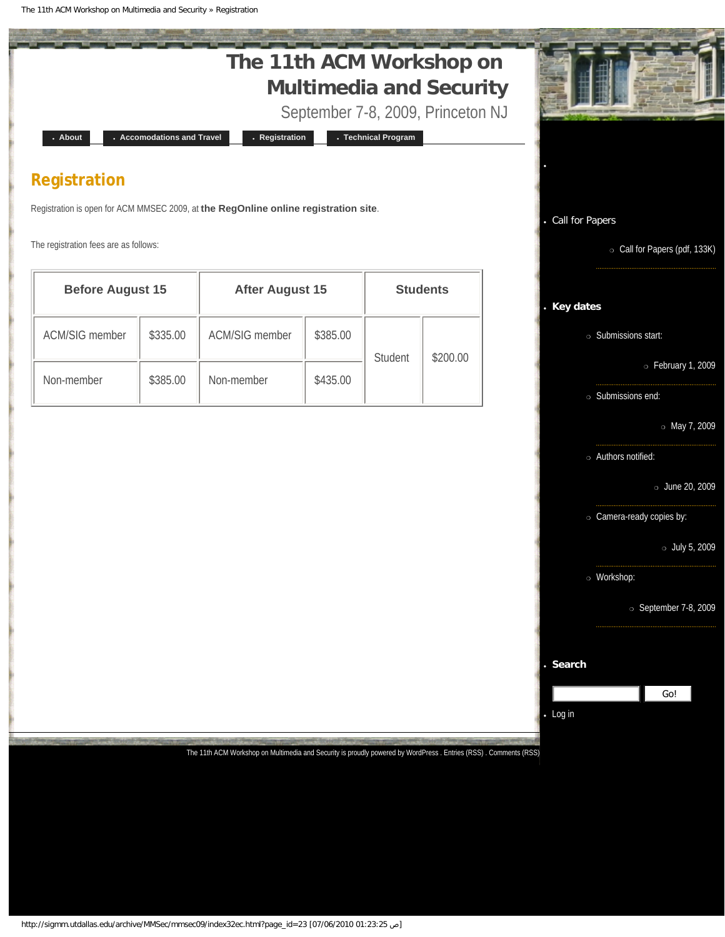The 11th ACM Workshop on Multimedia and Security » Registration

<span id="page-7-0"></span>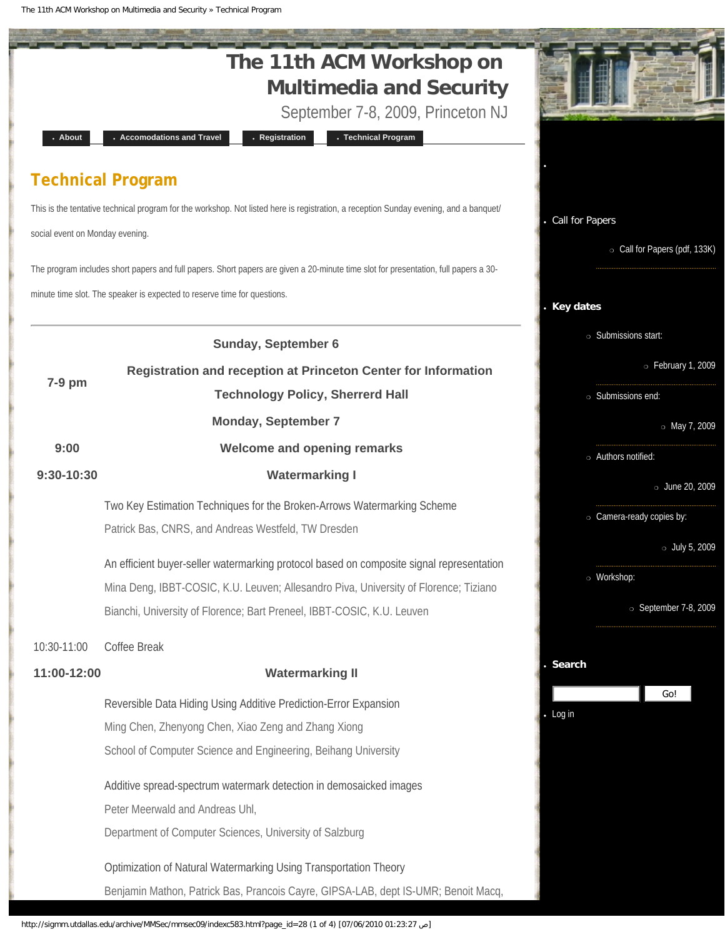The 11th ACM Workshop on Multimedia and Security » Technical Program

<span id="page-8-0"></span>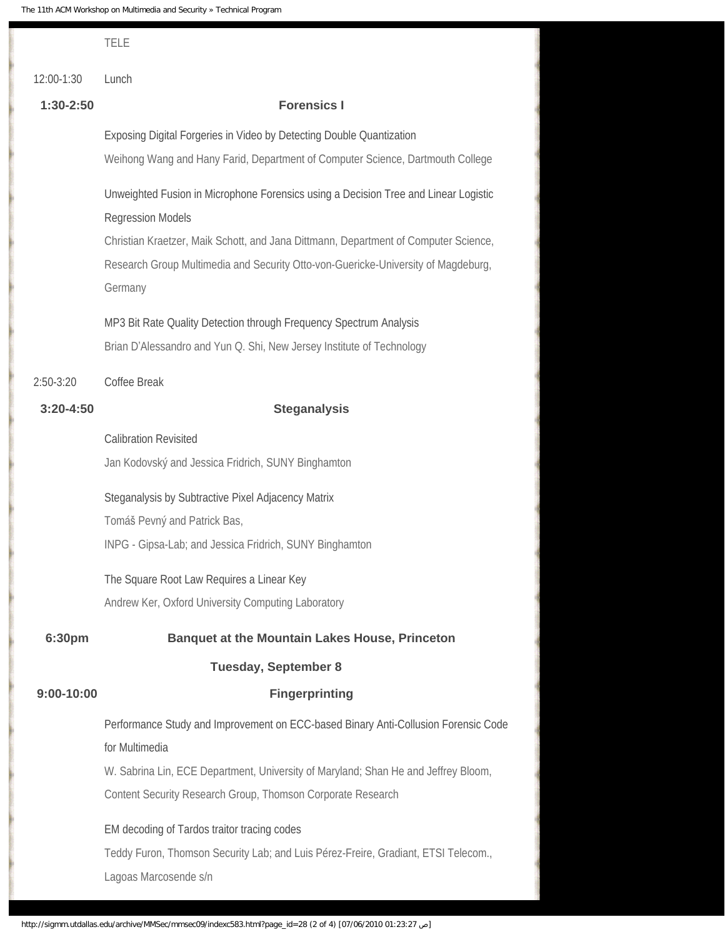|               | <b>TELE</b>                                                                                                     |  |  |  |  |  |
|---------------|-----------------------------------------------------------------------------------------------------------------|--|--|--|--|--|
| 12:00-1:30    | Lunch                                                                                                           |  |  |  |  |  |
| $1:30-2:50$   | <b>Forensics I</b>                                                                                              |  |  |  |  |  |
|               | Exposing Digital Forgeries in Video by Detecting Double Quantization                                            |  |  |  |  |  |
|               | Weihong Wang and Hany Farid, Department of Computer Science, Dartmouth College                                  |  |  |  |  |  |
|               | Unweighted Fusion in Microphone Forensics using a Decision Tree and Linear Logistic<br><b>Regression Models</b> |  |  |  |  |  |
|               | Christian Kraetzer, Maik Schott, and Jana Dittmann, Department of Computer Science,                             |  |  |  |  |  |
|               | Research Group Multimedia and Security Otto-von-Guericke-University of Magdeburg,<br>Germany                    |  |  |  |  |  |
|               | MP3 Bit Rate Quality Detection through Frequency Spectrum Analysis                                              |  |  |  |  |  |
|               | Brian D'Alessandro and Yun Q. Shi, New Jersey Institute of Technology                                           |  |  |  |  |  |
| $2:50-3:20$   | Coffee Break                                                                                                    |  |  |  |  |  |
| $3:20 - 4:50$ | <b>Steganalysis</b>                                                                                             |  |  |  |  |  |
|               | <b>Calibration Revisited</b>                                                                                    |  |  |  |  |  |
|               | Jan Kodovský and Jessica Fridrich, SUNY Binghamton                                                              |  |  |  |  |  |
|               | Steganalysis by Subtractive Pixel Adjacency Matrix                                                              |  |  |  |  |  |
|               | Tomáš Pevný and Patrick Bas,                                                                                    |  |  |  |  |  |
|               | INPG - Gipsa-Lab; and Jessica Fridrich, SUNY Binghamton                                                         |  |  |  |  |  |
|               | The Square Root Law Requires a Linear Key                                                                       |  |  |  |  |  |
|               | Andrew Ker, Oxford University Computing Laboratory                                                              |  |  |  |  |  |
| 6:30pm        | <b>Banquet at the Mountain Lakes House, Princeton</b>                                                           |  |  |  |  |  |
|               | <b>Tuesday, September 8</b>                                                                                     |  |  |  |  |  |
| $9:00-10:00$  | <b>Fingerprinting</b>                                                                                           |  |  |  |  |  |
|               | Performance Study and Improvement on ECC-based Binary Anti-Collusion Forensic Code<br>for Multimedia            |  |  |  |  |  |
|               | W. Sabrina Lin, ECE Department, University of Maryland; Shan He and Jeffrey Bloom,                              |  |  |  |  |  |
|               | Content Security Research Group, Thomson Corporate Research                                                     |  |  |  |  |  |
|               | EM decoding of Tardos traitor tracing codes                                                                     |  |  |  |  |  |
|               | Teddy Furon, Thomson Security Lab; and Luis Pérez-Freire, Gradiant, ETSI Telecom.,<br>Lagoas Marcosende s/n     |  |  |  |  |  |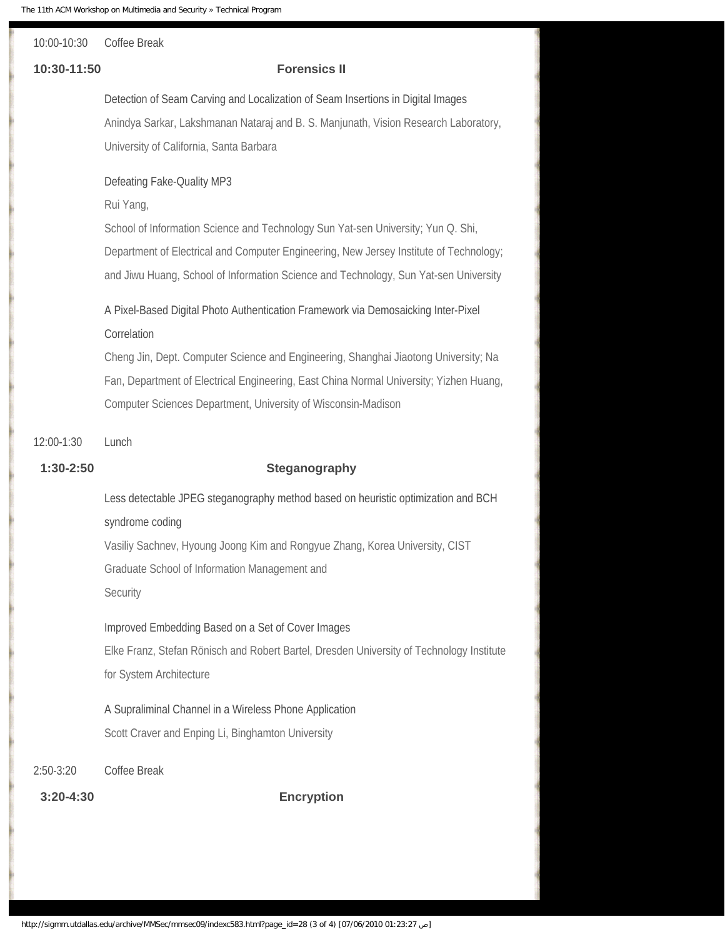# 10:00-10:30 Coffee Break

### **10:30-11:50 Forensics II**

Detection of Seam Carving and Localization of Seam Insertions in Digital Images Anindya Sarkar, Lakshmanan Nataraj and B. S. Manjunath, Vision Research Laboratory, University of California, Santa Barbara

### Defeating Fake-Quality MP3

Rui Yang,

School of Information Science and Technology Sun Yat-sen University; Yun Q. Shi, Department of Electrical and Computer Engineering, New Jersey Institute of Technology; and Jiwu Huang, School of Information Science and Technology, Sun Yat-sen University

# A Pixel-Based Digital Photo Authentication Framework via Demosaicking Inter-Pixel Correlation

Cheng Jin, Dept. Computer Science and Engineering, Shanghai Jiaotong University; Na Fan, Department of Electrical Engineering, East China Normal University; Yizhen Huang, Computer Sciences Department, University of Wisconsin-Madison

### 12:00-1:30 Lunch

### **1:30-2:50 Steganography**

Less detectable JPEG steganography method based on heuristic optimization and BCH syndrome coding Vasiliy Sachnev, Hyoung Joong Kim and Rongyue Zhang, Korea University, CIST Graduate School of Information Management and **Security** 

### Improved Embedding Based on a Set of Cover Images

Elke Franz, Stefan Rönisch and Robert Bartel, Dresden University of Technology Institute for System Architecture

A Supraliminal Channel in a Wireless Phone Application Scott Craver and Enping Li, Binghamton University

### 2:50-3:20 Coffee Break

**3:20-4:30 Encryption**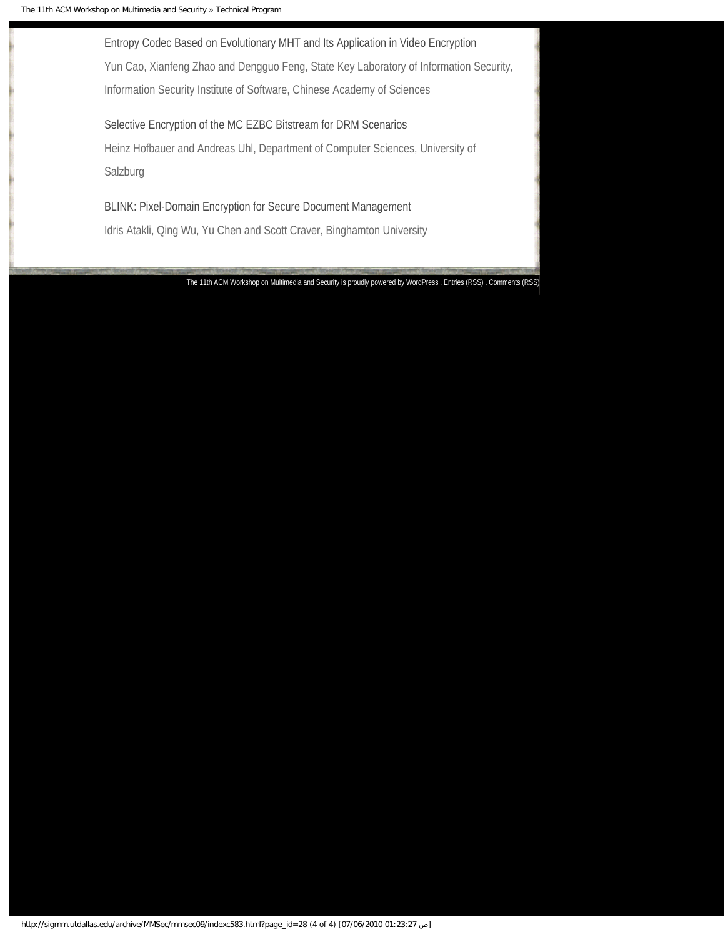Entropy Codec Based on Evolutionary MHT and Its Application in Video Encryption Yun Cao, Xianfeng Zhao and Dengguo Feng, State Key Laboratory of Information Security, Information Security Institute of Software, Chinese Academy of Sciences

Selective Encryption of the MC EZBC Bitstream for DRM Scenarios Heinz Hofbauer and Andreas Uhl, Department of Computer Sciences, University of Salzburg

BLINK: Pixel-Domain Encryption for Secure Document Management Idris Atakli, Qing Wu, Yu Chen and Scott Craver, Binghamton University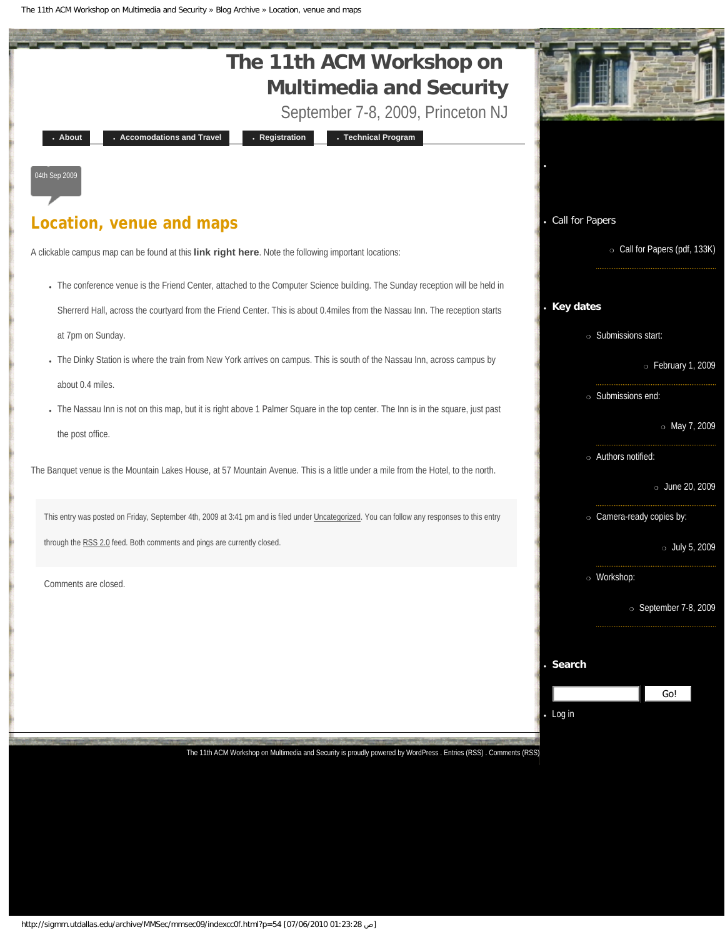The 11th ACM Workshop on Multimedia and Security » Blog Archive » Location, venue and maps

<span id="page-12-0"></span>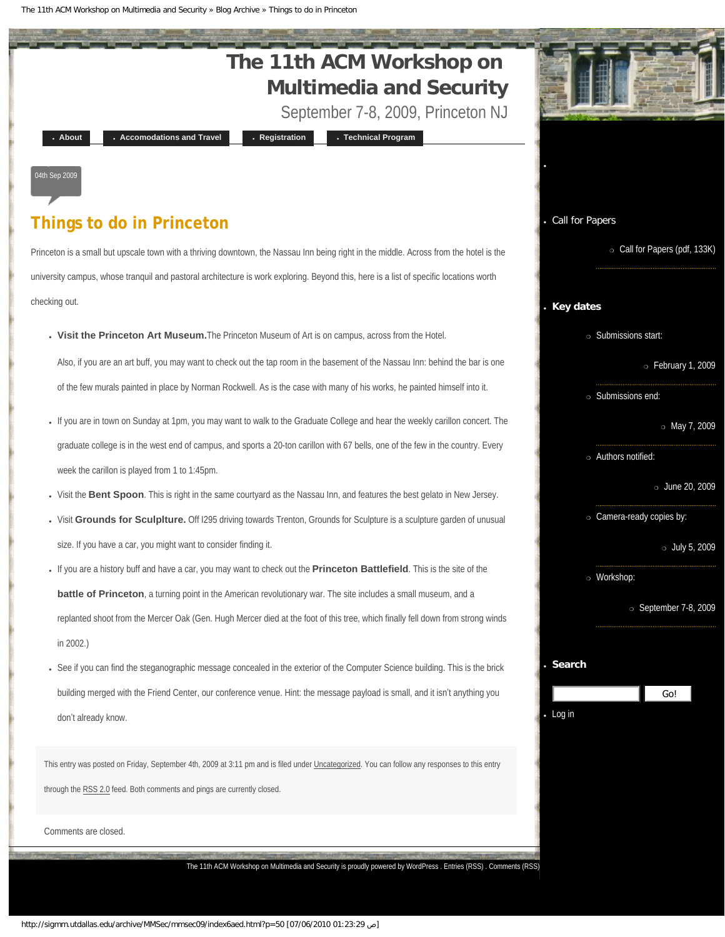The 11th ACM Workshop on Multimedia and Security » Blog Archive » Things to do in Princeton

<span id="page-13-0"></span>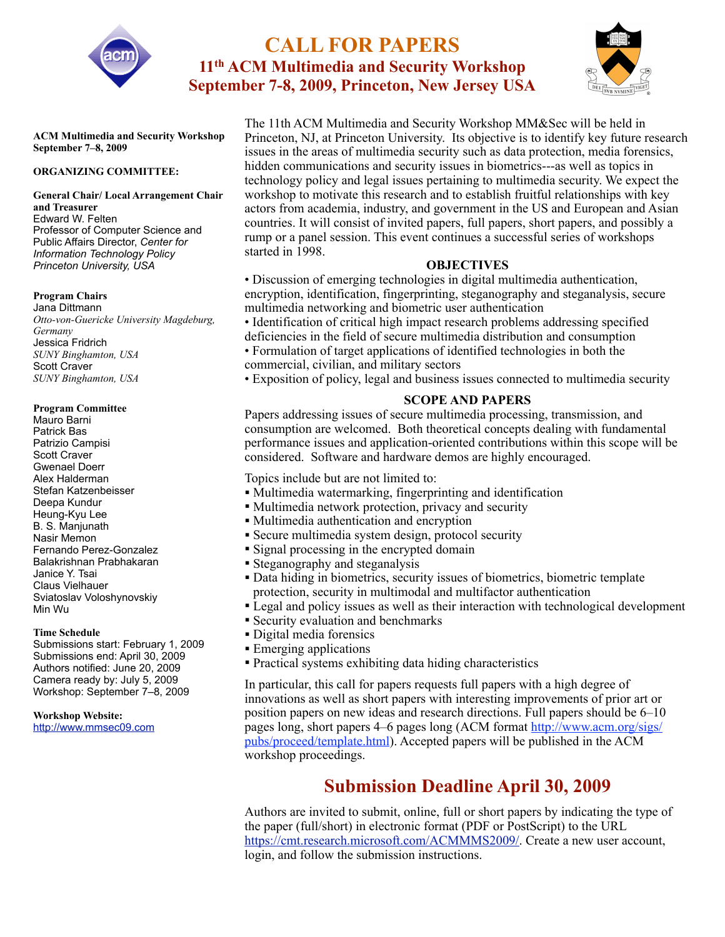<span id="page-14-0"></span>

# **CALL FOR PAPERS 11th ACM Multimedia and Security Workshop September 7-8, 2009, Princeton, New Jersey USA**



**ACM Multimedia and Security Workshop September 7–8, 2009**

### **ORGANIZING COMMITTEE:**

#### **General Chair/ Local Arrangement Chair and Treasurer** Edward W. Felten Professor of Computer Science and Public Affairs Director, *Center for Information Technology Policy Princeton University, USA*

#### **Program Chairs**

Jana Dittmann *Otto-von-Guericke University Magdeburg, Germany*  Jessica Fridrich *SUNY Binghamton, USA*  Scott Craver *SUNY Binghamton, USA*

#### **Program Committee**

Mauro Barni Patrick Bas Patrizio Campisi Scott Craver Gwenael Doerr Alex Halderman Stefan Katzenbeisser Deepa Kundur Heung-Kyu Lee B. S. Manjunath Nasir Memon Fernando Perez-Gonzalez Balakrishnan Prabhakaran Janice Y. Tsai Claus Vielhauer Sviatoslav Voloshynovskiy Min Wu

### **Time Schedule**

Submissions start: February 1, 2009 Submissions end: April 30, 2009 Authors notified: June 20, 2009 Camera ready by: July 5, 2009 Workshop: September 7–8, 2009

**Workshop Website:** [http://www.mmsec09.com](http://www.mmsec2009.com/) The 11th ACM Multimedia and Security Workshop MM&Sec will be held in Princeton, NJ, at Princeton University. Its objective is to identify key future research issues in the areas of multimedia security such as data protection, media forensics, hidden communications and security issues in biometrics---as well as topics in technology policy and legal issues pertaining to multimedia security. We expect the workshop to motivate this research and to establish fruitful relationships with key actors from academia, industry, and government in the US and European and Asian countries. It will consist of invited papers, full papers, short papers, and possibly a rump or a panel session. This event continues a successful series of workshops started in 1998.

### **OBJECTIVES**

• Discussion of emerging technologies in digital multimedia authentication, encryption, identification, fingerprinting, steganography and steganalysis, secure multimedia networking and biometric user authentication

- Identification of critical high impact research problems addressing specified deficiencies in the field of secure multimedia distribution and consumption
- Formulation of target applications of identified technologies in both the commercial, civilian, and military sectors
- Exposition of policy, legal and business issues connected to multimedia security

### **SCOPE AND PAPERS**

Papers addressing issues of secure multimedia processing, transmission, and consumption are welcomed. Both theoretical concepts dealing with fundamental performance issues and application-oriented contributions within this scope will be considered. Software and hardware demos are highly encouraged.

Topics include but are not limited to:

- Multimedia watermarking, fingerprinting and identification
- Multimedia network protection, privacy and security
- Multimedia authentication and encryption
- Secure multimedia system design, protocol security
- Signal processing in the encrypted domain
- Steganography and steganalysis
- Data hiding in biometrics, security issues of biometrics, biometric template protection, security in multimodal and multifactor authentication
- Legal and policy issues as well as their interaction with technological development
- Security evaluation and benchmarks
- Digital media forensics
- Emerging applications
- Practical systems exhibiting data hiding characteristics

In particular, this call for papers requests full papers with a high degree of innovations as well as short papers with interesting improvements of prior art or position papers on new ideas and research directions. Full papers should be 6–10 pages long, short papers 4–6 pages long (ACM format [http://www.acm.org/sigs/](http://www.acm.org/sigs/pubs/proceed/template.html) [pubs/proceed/template.html](http://www.acm.org/sigs/pubs/proceed/template.html)). Accepted papers will be published in the ACM workshop proceedings.

# **Submission Deadline April 30, 2009**

Authors are invited to submit, online, full or short papers by indicating the type of the paper (full/short) in electronic format (PDF or PostScript) to the URL [https://cmt.research.microsoft.com/ACMMMS2009/.](https://cmt.research.microsoft.com/ACMMMS2009/) Create a new user account, login, and follow the submission instructions.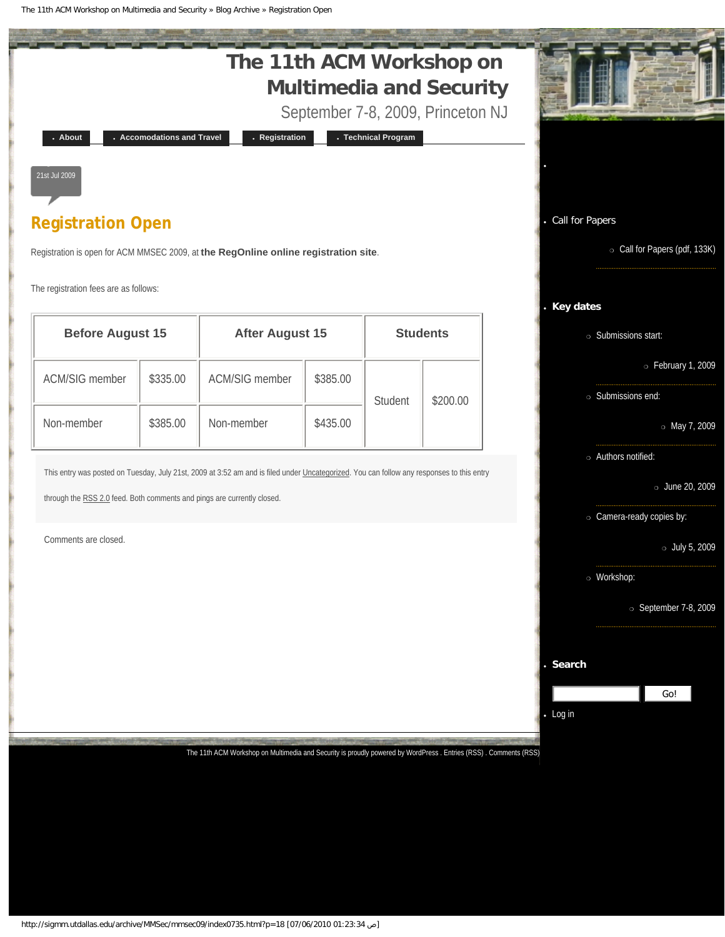The 11th ACM Workshop on Multimedia and Security » Blog Archive » Registration Open

<span id="page-15-0"></span>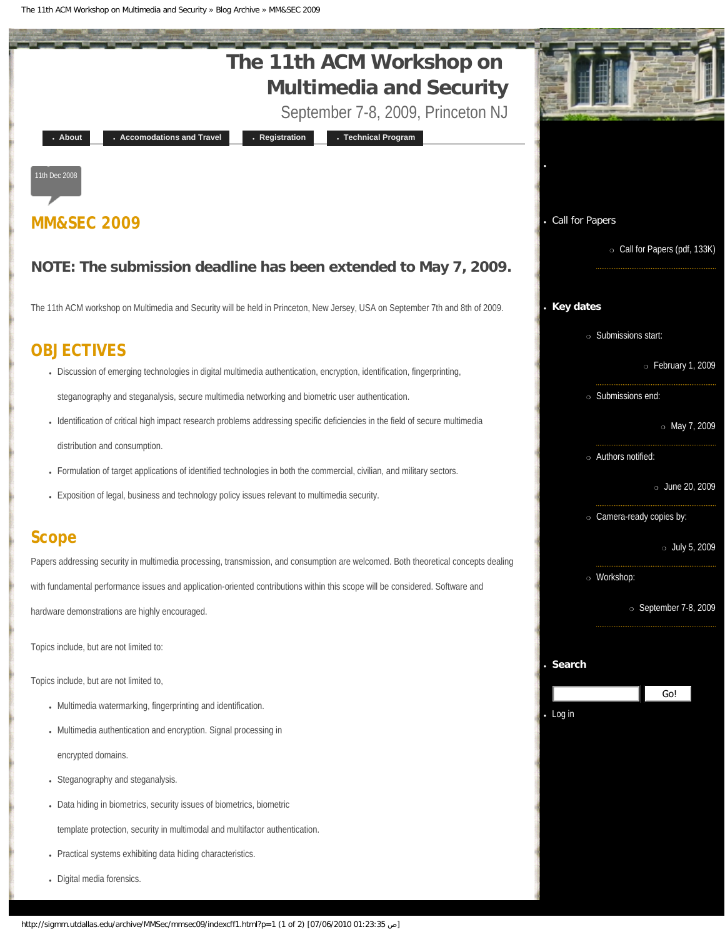<span id="page-16-0"></span>The 11th ACM Workshop on Multimedia and Security » Blog Archive » MM&SEC 2009

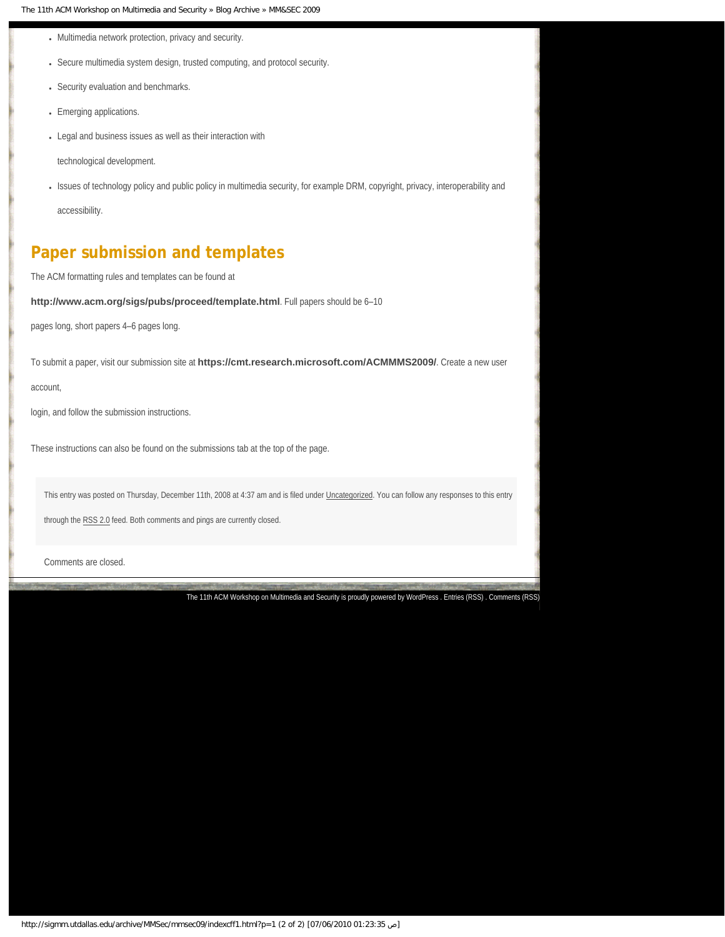- Multimedia network protection, privacy and security.
- Secure multimedia system design, trusted computing, and protocol security.
- Security evaluation and benchmarks.
- Emerging applications.
- Legal and business issues as well as their interaction with

technological development.

• Issues of technology policy and public policy in multimedia security, for example DRM, copyright, privacy, interoperability and accessibility.

# **Paper submission and templates**

The ACM formatting rules and templates can be found at

**<http://www.acm.org/sigs/pubs/proceed/template.html>**. Full papers should be 6–10

pages long, short papers 4–6 pages long.

To submit a paper, visit our submission site at **<https://cmt.research.microsoft.com/ACMMMS2009/>**. Create a new user

account,

login, and follow the submission instructions.

These instructions can also be found on the submissions tab at the top of the page.

This entry was posted on Thursday, December 11th, 2008 at 4:37 am and is filed under [Uncategorized.](#page-18-0) You can follow any responses to this entry

through the [RSS 2.0](http://sigmm.utdallas.edu/archive/MMSec/mmsec09/indexe539.html?feed=rss2&p=1) feed. Both comments and pings are currently closed.

Comments are closed.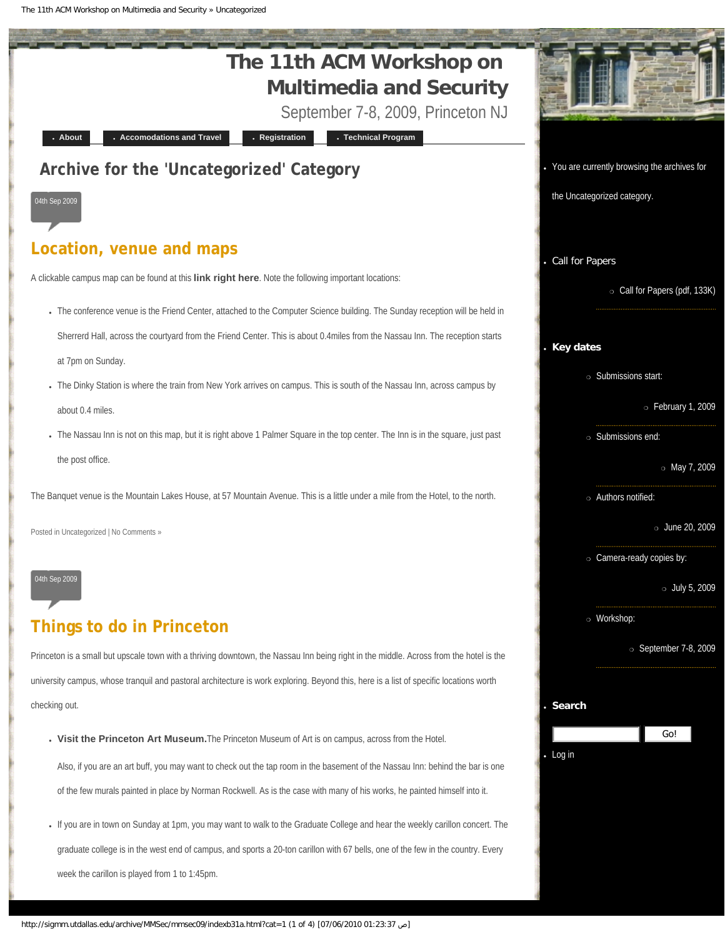The 11th ACM Workshop on Multimedia and Security » Uncategorized

<span id="page-18-0"></span>

● If you are in town on Sunday at 1pm, you may want to walk to the Graduate College and hear the weekly carillon concert. The graduate college is in the west end of campus, and sports a 20-ton carillon with 67 bells, one of the few in the country. Every week the carillon is played from 1 to 1:45pm.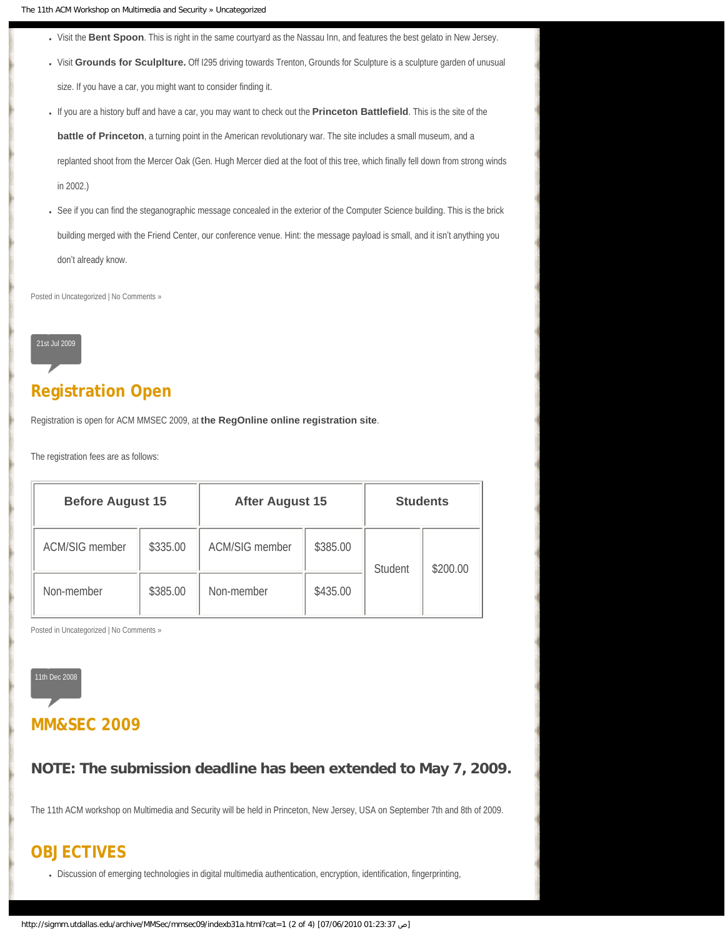- Visit the [Bent Spoon](http://www.thebentspoon.net/). This is right in the same courtyard as the Nassau Inn, and features the best gelato in New Jersey.
- Visit [Grounds for Sculplture.](http://www.groundsforsculpture.org/) Off I295 driving towards Trenton, Grounds for Sculpture is a sculpture garden of unusual size. If you have a car, you might want to consider finding it.
- If you are a history buff and have a car, you may want to check out the **[Princeton Battlefield](http://www.state.nj.us/dep/parksandforests/parks/princeton.html)**. This is the site of the

**[battle of Princeton](http://en.wikipedia.org/wiki/Battle_of_Princeton)**, a turning point in the American revolutionary war. The site includes a small museum, and a

replanted shoot from the Mercer Oak (Gen. Hugh Mercer died at the foot of this tree, which finally fell down from strong winds in 2002.)

• See if you can find the steganographic message concealed in the exterior of the Computer Science building. This is the brick building merged with the Friend Center, our conference venue. Hint: the message payload is small, and it isn't anything you don't already know.

Posted in [Uncategorized](#page-18-0) | [No Comments »](#page-13-0)



# **[Registration Open](#page-15-0)**

Registration is open for ACM MMSEC 2009, at **[the RegOnline online registration site](https://www.regonline.com/63383_127532J)**.

The registration fees are as follows:

| <b>Before August 15</b> |          | <b>After August 15</b> |          | <b>Students</b> |          |
|-------------------------|----------|------------------------|----------|-----------------|----------|
| <b>ACM/SIG member</b>   | \$335.00 | <b>ACM/SIG member</b>  | \$385.00 | Student         | \$200.00 |
| Non-member              | \$385.00 | Non-member             | \$435.00 |                 |          |

Posted in [Uncategorized](#page-18-0) | [No Comments »](#page-15-0)



### **[MM&SEC 2009](#page-16-0)**

**NOTE: The submission deadline has been extended to May 7, 2009.**

The 11th ACM workshop on Multimedia and Security will be held in Princeton, New Jersey, USA on September 7th and 8th of 2009.

# **OBJECTIVES**

• Discussion of emerging technologies in digital multimedia authentication, encryption, identification, fingerprinting,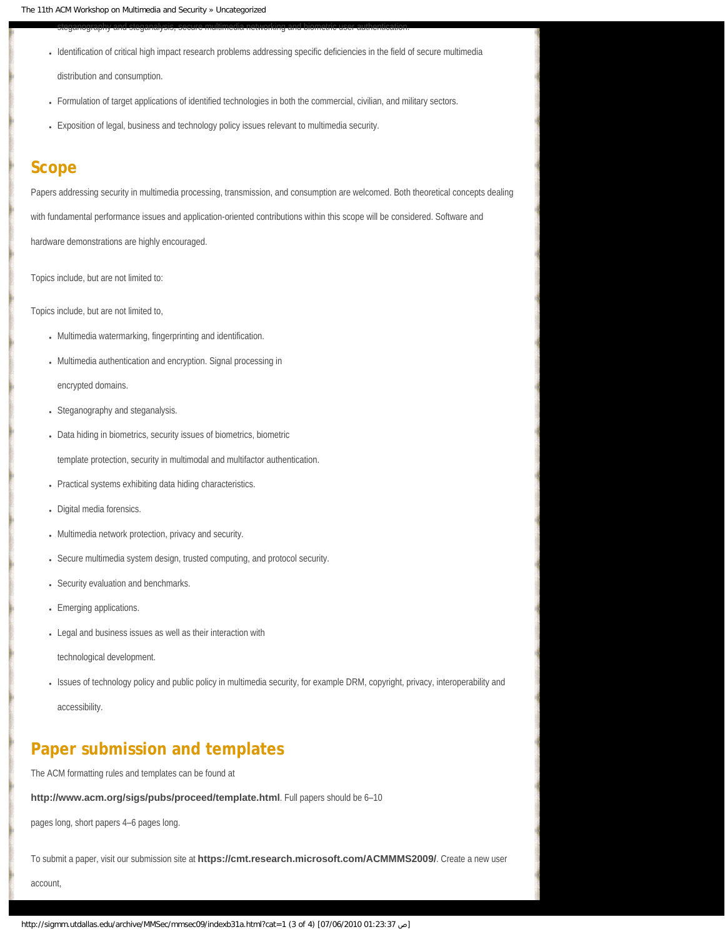steganography and steganalysis, secure multimedia networking and biometric user authentication.

• Identification of critical high impact research problems addressing specific deficiencies in the field of secure multimedia

distribution and consumption.

- Formulation of target applications of identified technologies in both the commercial, civilian, and military sectors.
- Exposition of legal, business and technology policy issues relevant to multimedia security.

### **Scope**

Papers addressing security in multimedia processing, transmission, and consumption are welcomed. Both theoretical concepts dealing

with fundamental performance issues and application-oriented contributions within this scope will be considered. Software and

hardware demonstrations are highly encouraged.

Topics include, but are not limited to:

Topics include, but are not limited to,

- Multimedia watermarking, fingerprinting and identification.
- Multimedia authentication and encryption. Signal processing in

encrypted domains.

- Steganography and steganalysis.
- Data hiding in biometrics, security issues of biometrics, biometric

template protection, security in multimodal and multifactor authentication.

- Practical systems exhibiting data hiding characteristics.
- Digital media forensics.
- Multimedia network protection, privacy and security.
- Secure multimedia system design, trusted computing, and protocol security.
- Security evaluation and benchmarks.
- Emerging applications.
- Legal and business issues as well as their interaction with

technological development.

● Issues of technology policy and public policy in multimedia security, for example DRM, copyright, privacy, interoperability and

accessibility.

# **Paper submission and templates**

The ACM formatting rules and templates can be found at

**<http://www.acm.org/sigs/pubs/proceed/template.html>**. Full papers should be 6–10

pages long, short papers 4–6 pages long.

To submit a paper, visit our submission site at **<https://cmt.research.microsoft.com/ACMMMS2009/>**. Create a new user

account,